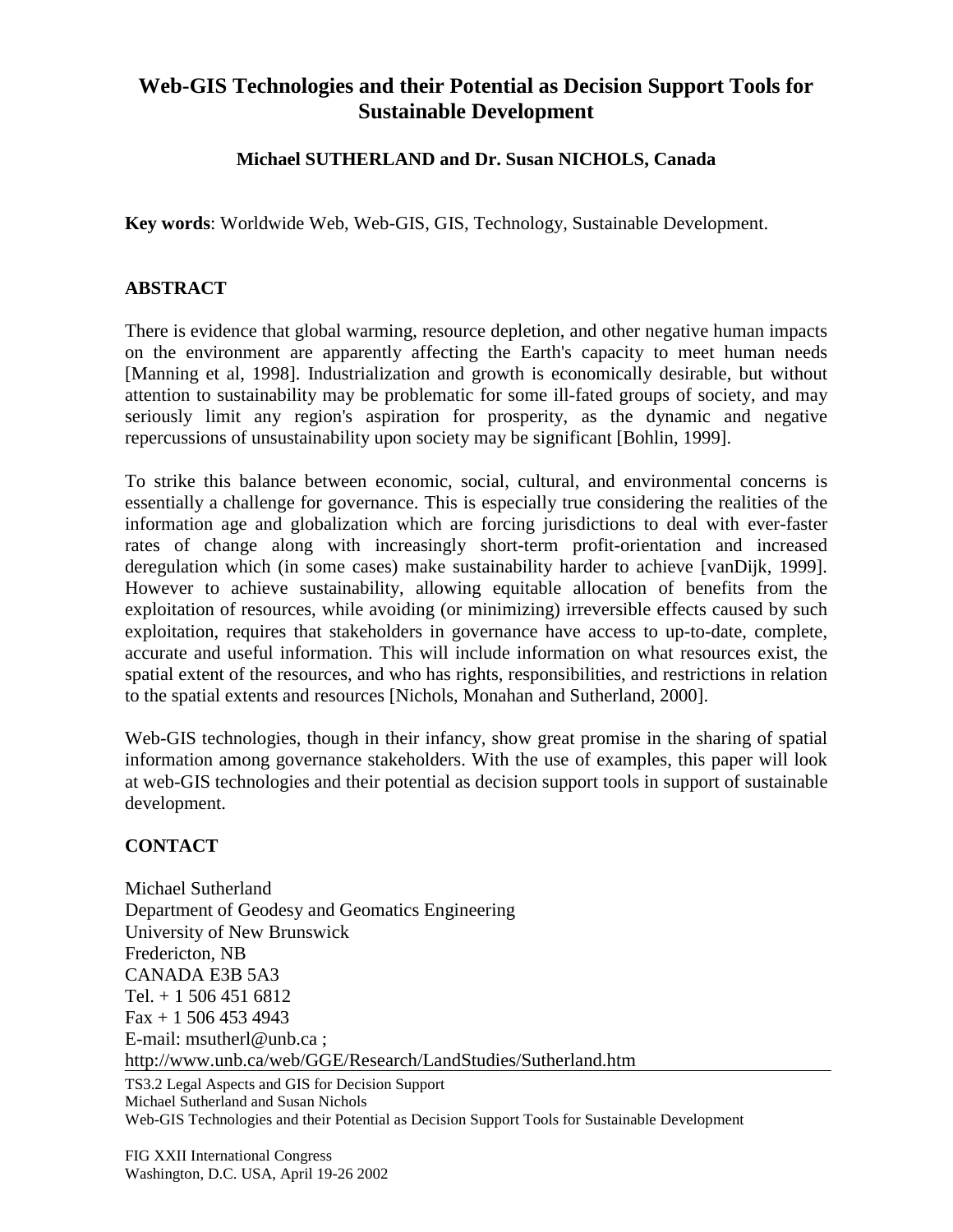## **Web-GIS Technologies and their Potential as Decision Support Tools for Sustainable Development**

## **Michael SUTHERLAND and Dr. Susan NICHOLS, Canada**

**Key words**: Worldwide Web, Web-GIS, GIS, Technology, Sustainable Development.

## **ABSTRACT**

There is evidence that global warming, resource depletion, and other negative human impacts on the environment are apparently affecting the Earth's capacity to meet human needs [Manning et al, 1998]. Industrialization and growth is economically desirable, but without attention to sustainability may be problematic for some ill-fated groups of society, and may seriously limit any region's aspiration for prosperity, as the dynamic and negative repercussions of unsustainability upon society may be significant [Bohlin, 1999].

To strike this balance between economic, social, cultural, and environmental concerns is essentially a challenge for governance. This is especially true considering the realities of the information age and globalization which are forcing jurisdictions to deal with ever-faster rates of change along with increasingly short-term profit-orientation and increased deregulation which (in some cases) make sustainability harder to achieve [vanDijk, 1999]. However to achieve sustainability, allowing equitable allocation of benefits from the exploitation of resources, while avoiding (or minimizing) irreversible effects caused by such exploitation, requires that stakeholders in governance have access to up-to-date, complete, accurate and useful information. This will include information on what resources exist, the spatial extent of the resources, and who has rights, responsibilities, and restrictions in relation to the spatial extents and resources [Nichols, Monahan and Sutherland, 2000].

Web-GIS technologies, though in their infancy, show great promise in the sharing of spatial information among governance stakeholders. With the use of examples, this paper will look at web-GIS technologies and their potential as decision support tools in support of sustainable development.

## **CONTACT**

Michael Sutherland Department of Geodesy and Geomatics Engineering University of New Brunswick Fredericton, NB CANADA E3B 5A3 Tel. + 1 506 451 6812 Fax + 1 506 453 4943 E-mail: msutherl@unb.ca ; http://www.unb.ca/web/GGE/Research/LandStudies/Sutherland.htm

TS3.2 Legal Aspects and GIS for Decision Support Michael Sutherland and Susan Nichols Web-GIS Technologies and their Potential as Decision Support Tools for Sustainable Development

FIG XXII International Congress Washington, D.C. USA, April 19-26 2002